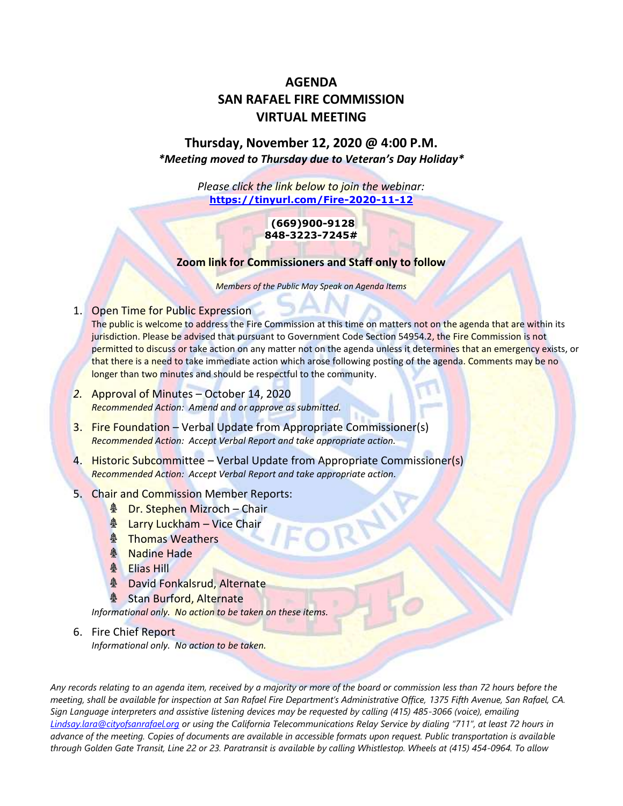# **AGENDA SAN RAFAEL FIRE COMMISSION VIRTUAL MEETING**

# **Thursday, November 12, 2020 @ 4:00 P.M.** *\*Meeting moved to Thursday due to Veteran's Day Holiday\**

*Please click the link below to join the webinar:* **<https://tinyurl.com/Fire-2020-11-12>**

#### **(669)900-9128 848-3223-7245#**

#### **Zoom link for Commissioners and Staff only to follow**

*Members of the Public May Speak on Agenda Items*

# 1. Open Time for Public Expression

The public is welcome to address the Fire Commission at this time on matters not on the agenda that are within its jurisdiction. Please be advised that pursuant to Government Code Section 54954.2, the Fire Commission is not permitted to discuss or take action on any matter not on the agenda unless it determines that an emergency exists, or that there is a need to take immediate action which arose following posting of the agenda. Comments may be no longer than two minutes and should be respectful to the community.

- *2.* Approval of Minutes October 14, 2020 *Recommended Action: Amend and or approve as submitted.*
- 3. Fire Foundation Verbal Update from Appropriate Commissioner(s) *Recommended Action: Accept Verbal Report and take appropriate action.*
- 4. Historic Subcommittee Verbal Update from Appropriate Commissioner(s) *Recommended Action: Accept Verbal Report and take appropriate action.*

# 5. Chair and Commission Member Reports:

- **A** Dr. Stephen Mizroch Chair
- **A** Larry Luckham Vice Chair
- **A** Thomas Weathers
- **A** Nadine Hade
- **A** Elias Hill
- **& David Fonkalsrud, Alternate**
- **& Stan Burford, Alternate**

*Informational only. No action to be taken on these items.*

# 6. Fire Chief Report *Informational only. No action to be taken.*

*Any records relating to an agenda item, received by a majority or more of the board or commission less than 72 hours before the meeting, shall be available for inspection at San Rafael Fire Department's Administrative Office, 1375 Fifth Avenue, San Rafael, CA. Sign Language interpreters and assistive listening devices may be requested by calling (415) 485-3066 (voice), emailing [Lindsay.lara@cityofsanrafael.org](mailto:Lindsay.lara@cityofsanrafael.org) or using the California Telecommunications Relay Service by dialing "711", at least 72 hours in advance of the meeting. Copies of documents are available in accessible formats upon request. Public transportation is available through Golden Gate Transit, Line 22 or 23. Paratransit is available by calling Whistlestop. Wheels at (415) 454-0964. To allow*